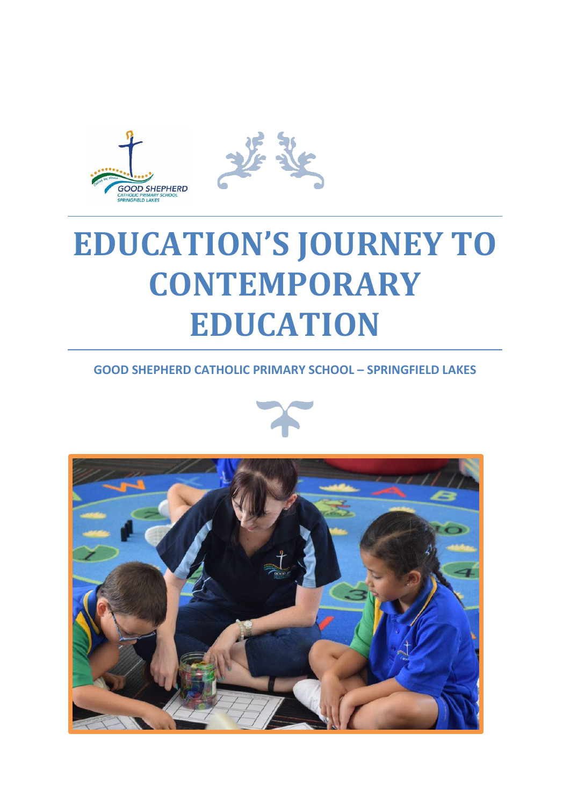

# **EDUCATION'S JOURNEY TO CONTEMPORARY EDUCATION**

# **GOOD SHEPHERD CATHOLIC PRIMARY SCHOOL – SPRINGFIELD LAKES**



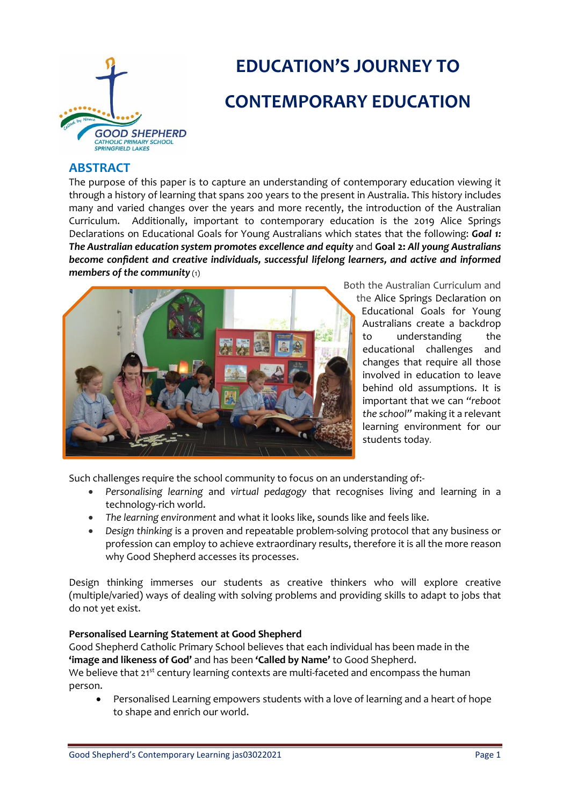

# **EDUCATION'S JOURNEY TO CONTEMPORARY EDUCATION**

# **ABSTRACT**

The purpose of this paper is to capture an understanding of contemporary education viewing it through a history of learning that spans 200 years to the present in Australia. This history includes many and varied changes over the years and more recently, the introduction of the Australian Curriculum. Additionally, important to contemporary education is the 2019 Alice Springs Declarations on Educational Goals for Young Australians which states that the following: *Goal 1: The Australian education system promotes excellence and equity* and **Goal 2:** *All young Australians become confident and creative individuals, successful lifelong learners, and active and informed*  members of the community (1)



Both the Australian Curriculum and

the Alice Springs Declaration on Educational Goals for Young Australians create a backdrop to understanding the educational challenges and changes that require all those involved in education to leave behind old assumptions. It is important that we can *"reboot the school"* making it a relevant learning environment for our students today.

Such challenges require the school community to focus on an understanding of:-

- *Personalising learning* and *virtual pedagogy* that recognises living and learning in a technology-rich world.
- *The learning environment* and what it looks like, sounds like and feels like.
- *Design thinking* is a proven and repeatable problem-solving protocol that any business or profession can employ to achieve extraordinary results, therefore it is all the more reason why Good Shepherd accesses its processes.

Design thinking immerses our students as creative thinkers who will explore creative (multiple/varied) ways of dealing with solving problems and providing skills to adapt to jobs that do not yet exist.

#### **Personalised Learning Statement at Good Shepherd**

Good Shepherd Catholic Primary School believes that each individual has been made in the **'image and likeness of God'** and has been **'Called by Name'** to Good Shepherd.

We believe that 21<sup>st</sup> century learning contexts are multi-faceted and encompass the human person.

• Personalised Learning empowers students with a love of learning and a heart of hope to shape and enrich our world.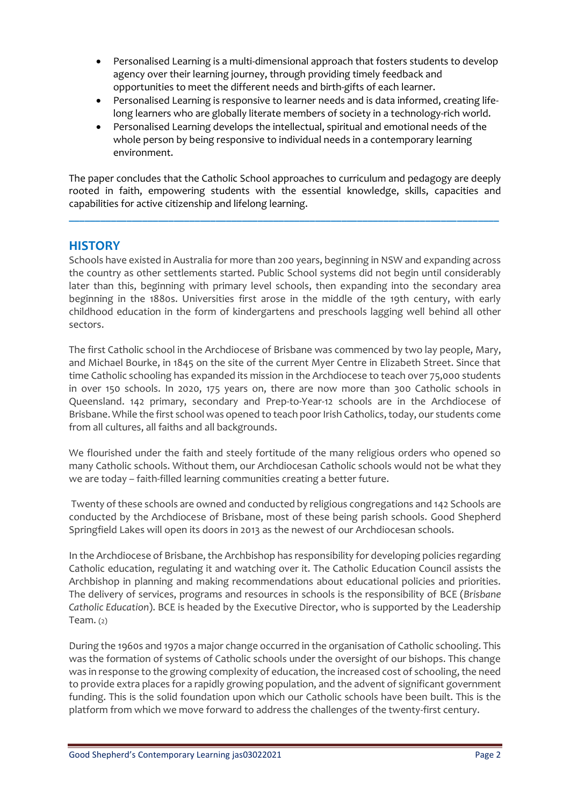- Personalised Learning is a multi-dimensional approach that fosters students to develop agency over their learning journey, through providing timely feedback and opportunities to meet the different needs and birth-gifts of each learner.
- Personalised Learning is responsive to learner needs and is data informed, creating lifelong learners who are globally literate members of society in a technology-rich world.
- Personalised Learning develops the intellectual, spiritual and emotional needs of the whole person by being responsive to individual needs in a contemporary learning environment.

The paper concludes that the Catholic School approaches to curriculum and pedagogy are deeply rooted in faith, empowering students with the essential knowledge, skills, capacities and capabilities for active citizenship and lifelong learning.

**\_\_\_\_\_\_\_\_\_\_\_\_\_\_\_\_\_\_\_\_\_\_\_\_\_\_\_\_\_\_\_\_\_\_\_\_\_\_\_\_\_\_\_\_\_\_\_\_\_\_\_\_\_\_\_\_\_\_\_\_\_\_\_\_\_\_\_\_\_\_\_\_\_\_\_\_\_\_\_\_\_\_**

# **HISTORY**

Schools have existed in Australia for more than 200 years, beginning in NSW and expanding across the country as other settlements started. Public School systems did not begin until considerably later than this, beginning with primary level schools, then expanding into the secondary area beginning in the 1880s. Universities first arose in the middle of the 19th century, with early childhood education in the form of kindergartens and preschools lagging well behind all other sectors.

The first Catholic school in the Archdiocese of Brisbane was commenced by two lay people, Mary, and Michael Bourke, in 1845 on the site of the current Myer Centre in Elizabeth Street. Since that time Catholic schooling has expanded its mission in the Archdiocese to teach over 75,000 students in over 150 schools. In 2020, 175 years on, there are now more than 300 Catholic schools in Queensland. 142 primary, secondary and Prep-to-Year-12 schools are in the Archdiocese of Brisbane. While the first school was opened to teach poor Irish Catholics, today, our students come from all cultures, all faiths and all backgrounds.

We flourished under the faith and steely fortitude of the many religious orders who opened so many Catholic schools. Without them, our Archdiocesan Catholic schools would not be what they we are today – faith-filled learning communities creating a better future.

Twenty of these schools are owned and conducted by religious congregations and 142 Schools are conducted by the Archdiocese of Brisbane, most of these being parish schools. Good Shepherd Springfield Lakes will open its doors in 2013 as the newest of our Archdiocesan schools.

In the Archdiocese of Brisbane, the Archbishop has responsibility for developing policies regarding Catholic education, regulating it and watching over it. The Catholic Education Council assists the Archbishop in planning and making recommendations about educational policies and priorities. The delivery of services, programs and resources in schools is the responsibility of BCE (*Brisbane Catholic Education*). BCE is headed by the Executive Director, who is supported by the Leadership Team.  $(2)$ 

During the 1960s and 1970s a major change occurred in the organisation of Catholic schooling. This was the formation of systems of Catholic schools under the oversight of our bishops. This change was in response to the growing complexity of education, the increased cost of schooling, the need to provide extra places for a rapidly growing population, and the advent of significant government funding. This is the solid foundation upon which our Catholic schools have been built. This is the platform from which we move forward to address the challenges of the twenty-first century.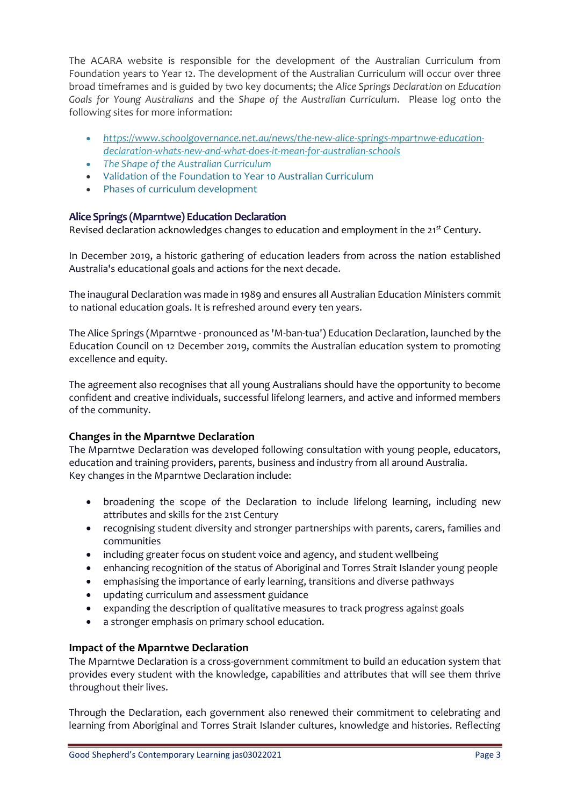The ACARA website is responsible for the development of the Australian Curriculum from Foundation years to Year 12. The development of the Australian Curriculum will occur over three broad timeframes and is guided by two key documents; the *Alice Springs Declaration on Education Goals for Young Australians* and the *Shape of the Australian Curriculum*. Please log onto the following sites for more information:

- *[https://www.schoolgovernance.net.au/news/the-new-alice-springs-mpartnwe-education](https://www.schoolgovernance.net.au/news/the-new-alice-springs-mpartnwe-education-declaration-whats-new-and-what-does-it-mean-for-australian-schools)[declaration-whats-new-and-what-does-it-mean-for-australian-schools](https://www.schoolgovernance.net.au/news/the-new-alice-springs-mpartnwe-education-declaration-whats-new-and-what-does-it-mean-for-australian-schools)*
- *[The Shape of the Australian Curriculum](http://www.acara.edu.au/curriculum/curriculum.html#3)*
- [Validation of the Foundation to Year 10 Australian Curriculum](http://www.acara.edu.au/curriculum/curriculum.html#4)
- [Phases of curriculum development](http://www.acara.edu.au/curriculum/curriculum.html#1)

# **Alice Springs (Mparntwe) Education Declaration**

Revised declaration acknowledges changes to education and employment in the 21<sup>st</sup> Century.

In December 2019, a historic gathering of education leaders from across the nation established Australia's educational goals and actions for the next decade.

The inaugural Declaration was made in 1989 and ensures all Australian Education Ministers commit to national education goals. It is refreshed around every ten years.

The Alice Springs (Mparntwe - pronounced as 'M-ban-tua') Education Declaration, launched by the Education Council on 12 December 2019, commits the Australian education system to promoting excellence and equity.

The agreement also recognises that all young Australians should have the opportunity to become confident and creative individuals, successful lifelong learners, and active and informed members of the community.

# **Changes in the Mparntwe Declaration**

The Mparntwe Declaration was developed following consultation with young people, educators, education and training providers, parents, business and industry from all around Australia. Key changes in the Mparntwe Declaration include:

- broadening the scope of the Declaration to include lifelong learning, including new attributes and skills for the 21st Century
- recognising student diversity and stronger partnerships with parents, carers, families and communities
- including greater focus on student voice and agency, and student wellbeing
- enhancing recognition of the status of Aboriginal and Torres Strait Islander young people
- emphasising the importance of early learning, transitions and diverse pathways
- updating curriculum and assessment guidance
- expanding the description of qualitative measures to track progress against goals
- a stronger emphasis on primary school education.

# **Impact of the Mparntwe Declaration**

The Mparntwe Declaration is a cross-government commitment to build an education system that provides every student with the knowledge, capabilities and attributes that will see them thrive throughout their lives.

Through the Declaration, each government also renewed their commitment to celebrating and learning from Aboriginal and Torres Strait Islander cultures, knowledge and histories. Reflecting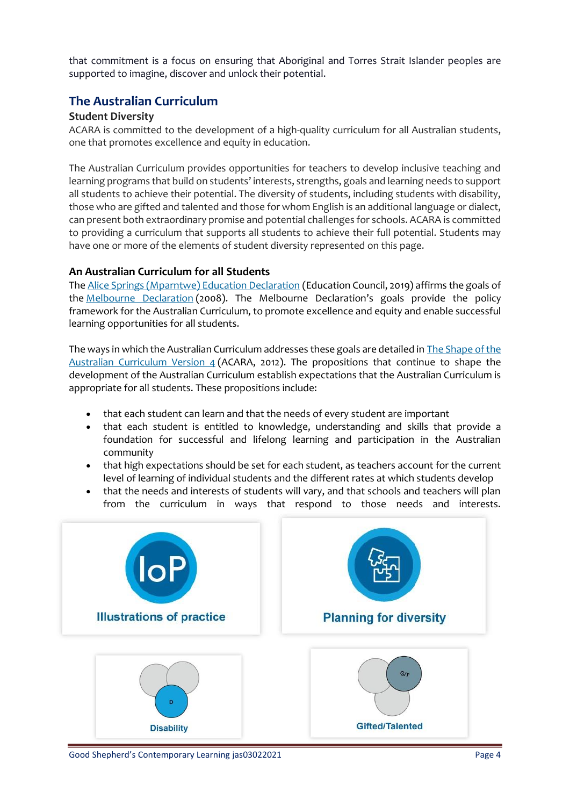that commitment is a focus on ensuring that Aboriginal and Torres Strait Islander peoples are supported to imagine, discover and unlock their potential.

# **The Australian Curriculum**

#### **Student Diversity**

ACARA is committed to the development of a high-quality curriculum for all Australian students, one that promotes excellence and equity in education.

The Australian Curriculum provides opportunities for teachers to develop inclusive teaching and learning programs that build on students' interests, strengths, goals and learning needs to support all students to achieve their potential. The diversity of students, including students with disability, those who are gifted and talented and those for whom English is an additional language or dialect, can present both extraordinary promise and potential challenges for schools. ACARA is committed to providing a curriculum that supports all students to achieve their full potential. Students may have one or more of the elements of student diversity represented on this page.

#### **An Australian Curriculum for all Students**

The [Alice Springs \(Mparntwe\) Education Declaration](https://uploadstorage.blob.core.windows.net/public-assets/education-au/melbdec/ED19-0230%20-%20SCH%20-%20Alice%20Springs%20(Mparntwe)%20Education%20Declaration_ACC.pdf) (Education Council, 2019) affirms the goals of the [Melbourne Declaration](http://www.curriculum.edu.au/verve/_resources/National_Declaration_on_the_Educational_Goals_for_Young_Australians.pdf) (2008). The Melbourne Declaration's goals provide the policy framework for the Australian Curriculum, to promote excellence and equity and enable successful learning opportunities for all students.

The ways in which the Australian Curriculum addresses these goals are detailed in [The Shape of the](https://docs.acara.edu.au/resources/The_Shape_of_the_Australian_Curriculum_v4.pdf)  [Australian Curriculum Version 4](https://docs.acara.edu.au/resources/The_Shape_of_the_Australian_Curriculum_v4.pdf) (ACARA, 2012). The propositions that continue to shape the development of the Australian Curriculum establish expectations that the Australian Curriculum is appropriate for all students. These propositions include:

- that each student can learn and that the needs of every student are important
- that each student is entitled to knowledge, understanding and skills that provide a foundation for successful and lifelong learning and participation in the Australian community
- that high expectations should be set for each student, as teachers account for the current level of learning of individual students and the different rates at which students develop
- that the needs and interests of students will vary, and that schools and teachers will plan from the curriculum in ways that respond to those needs and interests.



Good Shepherd's Contemporary Learning jas03022021 **Page 4** Page 4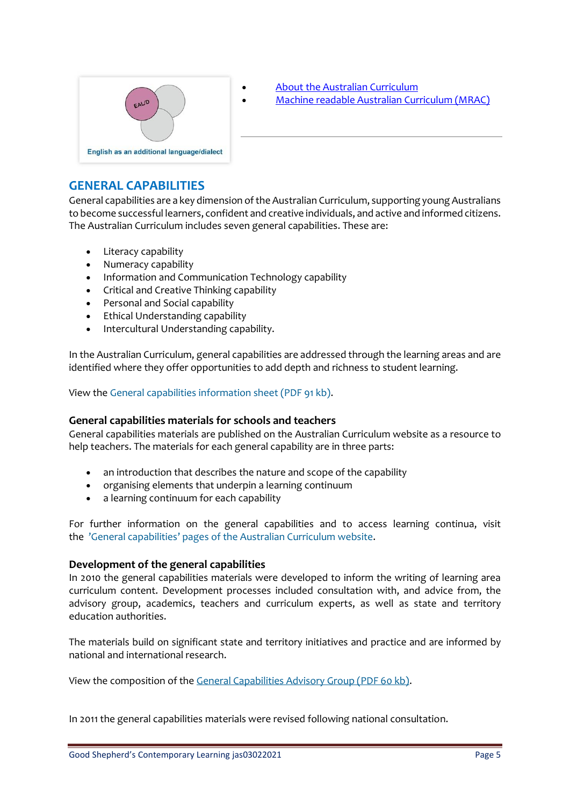

- [About the Australian Curriculum](https://www.australiancurriculum.edu.au/about-the-australian-curriculum/)
- [Machine readable Australian Curriculum \(MRAC\)](http://rdf.australiancurriculum.edu.au/)

# **GENERAL CAPABILITIES**

General capabilities are a key dimension of the Australian Curriculum, supporting young Australians to become successful learners, confident and creative individuals, and active and informed citizens. The Australian Curriculum includes seven general capabilities. These are:

- Literacy capability
- Numeracy capability
- Information and Communication Technology capability
- Critical and Creative Thinking capability
- Personal and Social capability
- Ethical Understanding capability
- Intercultural Understanding capability.

In the Australian Curriculum, general capabilities are addressed through the learning areas and are identified where they offer opportunities to add depth and richness to student learning.

View the [General capabilities information sheet \(PDF 91 kb\).](http://docs.acara.edu.au/resources/General_Capabilities_2011.pdf)

#### **General capabilities materials for schools and teachers**

General capabilities materials are published on the Australian Curriculum website as a resource to help teachers. The materials for each general capability are in three parts:

- an introduction that describes the nature and scope of the capability
- organising elements that underpin a learning continuum
- a learning continuum for each capability

For further information on the general capabilities and to access learning continua, visit the 'General capabilities' pages o[f the Australian Curriculum website.](https://www.australiancurriculum.edu.au/f-10-curriculum/general-capabilities/)

#### **Development of the general capabilities**

In 2010 the general capabilities materials were developed to inform the writing of learning area curriculum content. Development processes included consultation with, and advice from, the advisory group, academics, teachers and curriculum experts, as well as state and territory education authorities.

The materials build on significant state and territory initiatives and practice and are informed by national and international research.

View the composition of the [General Capabilities Advisory Group \(PDF 60 kb\).](http://docs.acara.edu.au/resources/20130705_ACARA_General_Capabilities_Advisory_Group_January_2013.pdf)

In 2011 the general capabilities materials were revised following national consultation.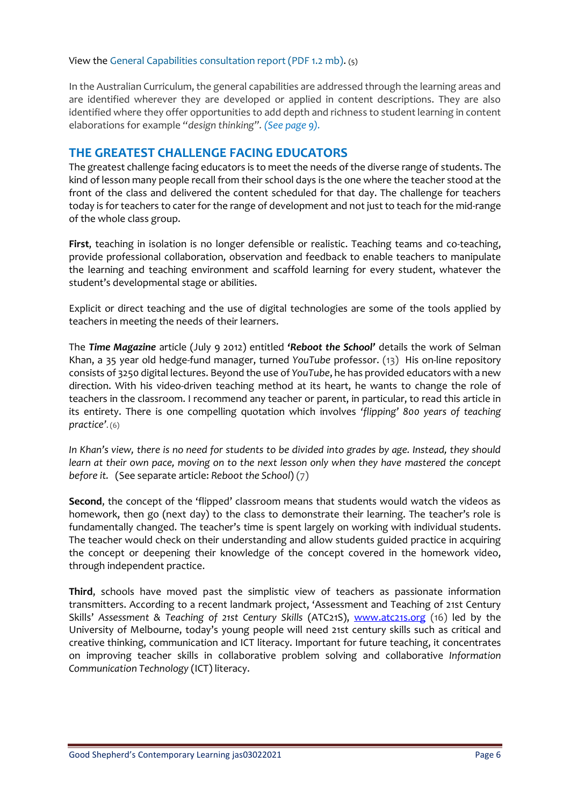#### View the [General Capabilities consultation report \(PDF 1.2 mb\).](http://docs.acara.edu.au/resources/General_Capabilities_-_Consultation_Report_-_December__2011.pdf) (5)

In the Australian Curriculum, the general capabilities are addressed through the learning areas and are identified wherever they are developed or applied in content descriptions. They are also identified where they offer opportunities to add depth and richness to student learning in content elaborations for example *"design thinking". (See page 9).*

# **THE GREATEST CHALLENGE FACING EDUCATORS**

The greatest challenge facing educators is to meet the needs of the diverse range of students. The kind of lesson many people recall from their school days is the one where the teacher stood at the front of the class and delivered the content scheduled for that day. The challenge for teachers today is for teachers to cater for the range of development and not just to teach for the mid-range of the whole class group.

**First**, teaching in isolation is no longer defensible or realistic. Teaching teams and co-teaching, provide professional collaboration, observation and feedback to enable teachers to manipulate the learning and teaching environment and scaffold learning for every student, whatever the student's developmental stage or abilities.

Explicit or direct teaching and the use of digital technologies are some of the tools applied by teachers in meeting the needs of their learners.

The *Time Magazine* article (July 9 2012) entitled *'Reboot the School'* details the work of Selman Khan, a 35 year old hedge-fund manager, turned *YouTube* professor. (13) His on-line repository consists of 3250 digital lectures. Beyond the use of *YouTube*, he has provided educators with a new direction. With his video-driven teaching method at its heart, he wants to change the role of teachers in the classroom. I recommend any teacher or parent, in particular, to read this article in its entirety. There is one compelling quotation which involves *'flipping' 800 years of teaching practice'*. (6)

*In Khan's view, there is no need for students to be divided into grades by age. Instead, they should learn at their own pace, moving on to the next lesson only when they have mastered the concept before it.* (See separate article: *Reboot the School*) (7)

**Second**, the concept of the 'flipped' classroom means that students would watch the videos as homework, then go (next day) to the class to demonstrate their learning. The teacher's role is fundamentally changed. The teacher's time is spent largely on working with individual students. The teacher would check on their understanding and allow students guided practice in acquiring the concept or deepening their knowledge of the concept covered in the homework video, through independent practice.

**Third**, schools have moved past the simplistic view of teachers as passionate information transmitters. According to a recent landmark project, 'Assessment and Teaching of 21st Century Skills' *Assessment & Teaching of 21st Century Skills* (ATC21S), [www.atc21s.org](http://www.atc21s.org/) (16) led by the University of Melbourne, today's young people will need 21st century skills such as critical and creative thinking, communication and ICT literacy. Important for future teaching, it concentrates on improving teacher skills in collaborative problem solving and collaborative *Information Communication Technology* (ICT) literacy.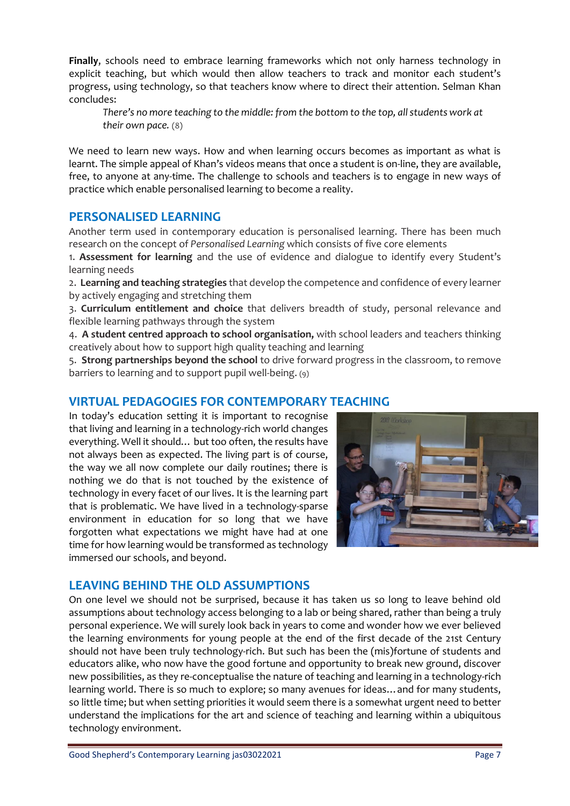**Finally**, schools need to embrace learning frameworks which not only harness technology in explicit teaching, but which would then allow teachers to track and monitor each student's progress, using technology, so that teachers know where to direct their attention. Selman Khan concludes:

*There's no more teaching to the middle: from the bottom to the top, all students work at their own pace.* (8)

We need to learn new ways. How and when learning occurs becomes as important as what is learnt. The simple appeal of Khan's videos means that once a student is on-line, they are available, free, to anyone at any-time. The challenge to schools and teachers is to engage in new ways of practice which enable personalised learning to become a reality.

# **PERSONALISED LEARNING**

Another term used in contemporary education is personalised learning. There has been much research on the concept of *Personalised Learning* which consists of five core elements

1. **Assessment for learning** and the use of evidence and dialogue to identify every Student's learning needs

2. **Learning and teaching strategies** that develop the competence and confidence of every learner by actively engaging and stretching them

3. **Curriculum entitlement and choice** that delivers breadth of study, personal relevance and flexible learning pathways through the system

4. **A student centred approach to school organisation,** with school leaders and teachers thinking creatively about how to support high quality teaching and learning

5. **Strong partnerships beyond the school** to drive forward progress in the classroom, to remove barriers to learning and to support pupil well-being. (9)

# **VIRTUAL PEDAGOGIES FOR CONTEMPORARY TEACHING**

In today's education setting it is important to recognise that living and learning in a technology-rich world changes everything. Well it should… but too often, the results have not always been as expected. The living part is of course, the way we all now complete our daily routines; there is nothing we do that is not touched by the existence of technology in every facet of our lives. It is the learning part that is problematic. We have lived in a technology-sparse environment in education for so long that we have forgotten what expectations we might have had at one time for how learning would be transformed as technology immersed our schools, and beyond.



# **LEAVING BEHIND THE OLD ASSUMPTIONS**

On one level we should not be surprised, because it has taken us so long to leave behind old assumptions about technology access belonging to a lab or being shared, rather than being a truly personal experience. We will surely look back in years to come and wonder how we ever believed the learning environments for young people at the end of the first decade of the 21st Century should not have been truly technology-rich. But such has been the (mis)fortune of students and educators alike, who now have the good fortune and opportunity to break new ground, discover new possibilities, as they re-conceptualise the nature of teaching and learning in a technology-rich learning world. There is so much to explore; so many avenues for ideas…and for many students, so little time; but when setting priorities it would seem there is a somewhat urgent need to better understand the implications for the art and science of teaching and learning within a ubiquitous technology environment.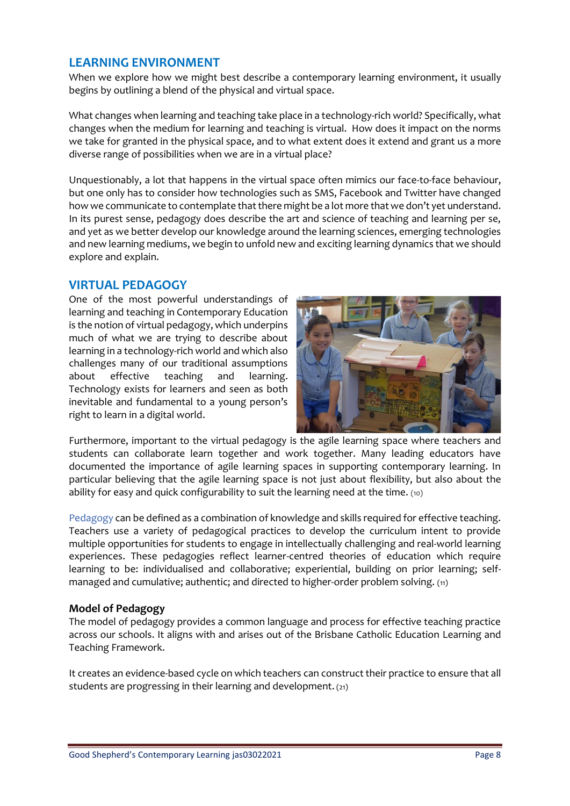# **LEARNING ENVIRONMENT**

When we explore how we might best describe a contemporary learning environment, it usually begins by outlining a blend of the physical and virtual space.

What changes when learning and teaching take place in a technology-rich world? Specifically, what changes when the medium for learning and teaching is virtual. How does it impact on the norms we take for granted in the physical space, and to what extent does it extend and grant us a more diverse range of possibilities when we are in a virtual place?

Unquestionably, a lot that happens in the virtual space often mimics our face-to-face behaviour, but one only has to consider how technologies such as SMS, Facebook and Twitter have changed how we communicate to contemplate that there might be a lot more that we don't yet understand. In its purest sense, pedagogy does describe the art and science of teaching and learning per se, and yet as we better develop our knowledge around the learning sciences, emerging technologies and new learning mediums, we begin to unfold new and exciting learning dynamics that we should explore and explain.

# **VIRTUAL PEDAGOGY**

One of the most powerful understandings of learning and teaching in Contemporary Education is the notion of virtual pedagogy, which underpins much of what we are trying to describe about learning in a technology-rich world and which also challenges many of our traditional assumptions about effective teaching and learning. Technology exists for learners and seen as both inevitable and fundamental to a young person's right to learn in a digital world.



Furthermore, important to the virtual pedagogy is the agile learning space where teachers and students can collaborate learn together and work together. Many leading educators have documented the importance of agile learning spaces in supporting contemporary learning. In particular believing that the agile learning space is not just about flexibility, but also about the ability for easy and quick configurability to suit the learning need at the time. (10)

Pedagogy can be defined as a combination of knowledge and skills required for effective teaching. Teachers use a variety of pedagogical practices to develop the curriculum intent to provide multiple opportunities for students to engage in intellectually challenging and real-world learning experiences. These pedagogies reflect learner-centred theories of education which require learning to be: individualised and collaborative; experiential, building on prior learning; selfmanaged and cumulative; authentic; and directed to higher-order problem solving. (11)

#### **Model of Pedagogy**

The model of pedagogy provides a common language and process for effective teaching practice across our schools. It aligns with and arises out of the Brisbane Catholic Education [Learning and](https://kweb.bne.catholic.edu.au/LandT/LTFramework/Pages/LearningandTeachingFramework.aspx)  [Teaching Framework.](https://kweb.bne.catholic.edu.au/LandT/LTFramework/Pages/LearningandTeachingFramework.aspx)

It creates an evidence-based cycle on which teachers can construct their practice to ensure that all students are progressing in their learning and development. (21)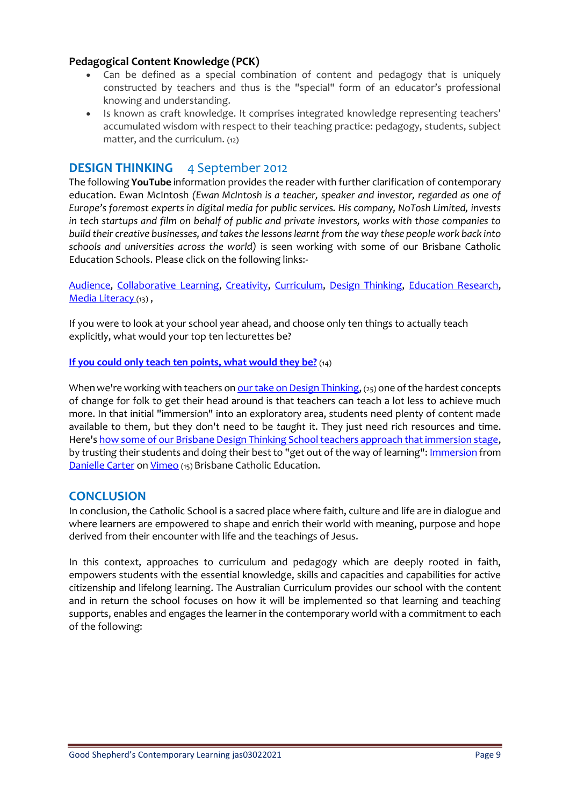#### **Pedagogical Content Knowledge (PCK)**

- Can be defined as a special combination of content and pedagogy that is uniquely constructed by teachers and thus is the "special" form of an educator's professional knowing and understanding.
- Is known as craft knowledge. It comprises integrated knowledge representing teachers' accumulated wisdom with respect to their teaching practice: pedagogy, students, subject matter, and the curriculum. (12)

# **DESIGN THINKING** 4 September 2012

The following **YouTube** information provides the reader with further clarification of contemporary education. Ewan McIntosh *(Ewan McIntosh is a teacher, speaker and investor, regarded as one of Europe's foremost experts in digital media for public services. His company, NoTosh Limited, invests in tech startups and film on behalf of public and private investors, works with those companies to build their creative businesses, and takes the lessons learnt from the way these people work back into schools and universities across the world)* is seen working with some of our Brisbane Catholic Education Schools. Please click on the following links:-

[Audience,](http://edu.blogs.com/edublogs/audience/) [Collaborative Learning,](http://edu.blogs.com/edublogs/collaborative_learning/) [Creativity,](http://edu.blogs.com/edublogs/creativity/) [Curriculum,](http://edu.blogs.com/edublogs/curriculum/) [Design Thinking,](http://edu.blogs.com/edublogs/design-thinking/) [Education Research,](http://edu.blogs.com/edublogs/social_software_and_able_pupils_action_research/) [Media Literacy](http://edu.blogs.com/edublogs/media_literacy/) (13),

If you were to look at your school year ahead, and choose only ten things to actually teach explicitly, what would your top ten lecturettes be?

#### **[If you could only teach ten points, what would they be?](http://edu.blogs.com/edublogs/2012/09/if-you-could-only-teach-ten-points-what-would-they-be.html)** (14)

When we're working with teachers o[n our take on Design Thinking,](http://www.notosh.com/2011/07/the-design-thinking-school/) (25) one of the hardest concepts of change for folk to get their head around is that teachers can teach a lot less to achieve much more. In that initial "immersion" into an exploratory area, students need plenty of content made available to them, but they don't need to be *taught* it. They just need rich resources and time. Here's [how some of our Brisbane Design Thinking School teachers approach that immersion stage,](http://vimeo.com/33992015) by trusting their students and doing their best to "get out of the way of learning"[: Immersion](http://vimeo.com/33992015) from [Danielle Carter](http://vimeo.com/user9697922) on [Vimeo](http://vimeo.com/) (15) Brisbane Catholic Education.

#### **CONCLUSION**

In conclusion, the Catholic School is a sacred place where faith, culture and life are in dialogue and where learners are empowered to shape and enrich their world with meaning, purpose and hope derived from their encounter with life and the teachings of Jesus.

In this context, approaches to curriculum and pedagogy which are deeply rooted in faith, empowers students with the essential knowledge, skills and capacities and capabilities for active citizenship and lifelong learning. The Australian Curriculum provides our school with the content and in return the school focuses on how it will be implemented so that learning and teaching supports, enables and engages the learner in the contemporary world with a commitment to each of the following: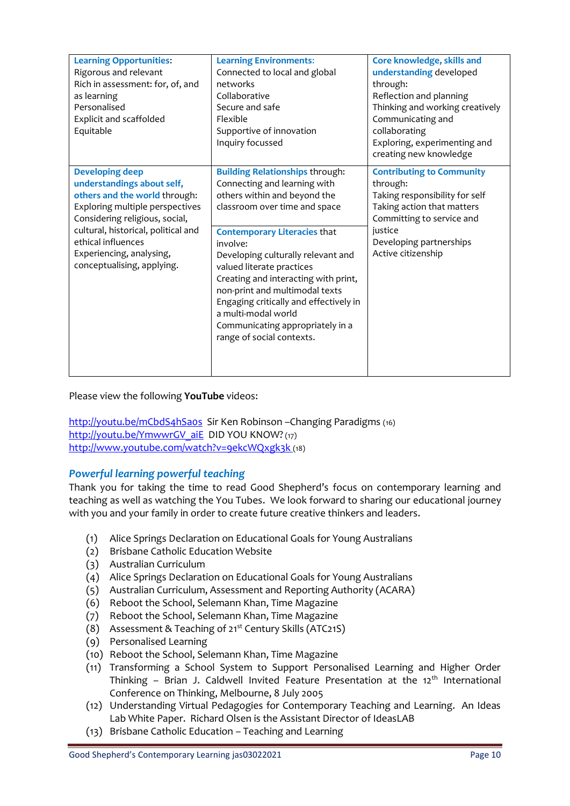| <b>Learning Opportunities:</b><br>Rigorous and relevant<br>Rich in assessment: for, of, and<br>as learning<br>Personalised<br>Explicit and scaffolded<br>Equitable                                                                                                                | <b>Learning Environments:</b><br>Connected to local and global<br>networks<br>Collaborative<br>Secure and safe<br>Flexible<br>Supportive of innovation<br>Inquiry focussed                                                                                                                                                                                                                                                                                                | Core knowledge, skills and<br>understanding developed<br>through:<br>Reflection and planning<br>Thinking and working creatively<br>Communicating and<br>collaborating<br>Exploring, experimenting and<br>creating new knowledge |
|-----------------------------------------------------------------------------------------------------------------------------------------------------------------------------------------------------------------------------------------------------------------------------------|---------------------------------------------------------------------------------------------------------------------------------------------------------------------------------------------------------------------------------------------------------------------------------------------------------------------------------------------------------------------------------------------------------------------------------------------------------------------------|---------------------------------------------------------------------------------------------------------------------------------------------------------------------------------------------------------------------------------|
| <b>Developing deep</b><br>understandings about self,<br>others and the world through:<br>Exploring multiple perspectives<br>Considering religious, social,<br>cultural, historical, political and<br>ethical influences<br>Experiencing, analysing,<br>conceptualising, applying. | <b>Building Relationships through:</b><br>Connecting and learning with<br>others within and beyond the<br>classroom over time and space<br><b>Contemporary Literacies that</b><br>involve:<br>Developing culturally relevant and<br>valued literate practices<br>Creating and interacting with print,<br>non-print and multimodal texts<br>Engaging critically and effectively in<br>a multi-modal world<br>Communicating appropriately in a<br>range of social contexts. | <b>Contributing to Community</b><br>through:<br>Taking responsibility for self<br>Taking action that matters<br>Committing to service and<br>justice<br>Developing partnerships<br>Active citizenship                           |

Please view the following **YouTube** videos:

<http://youtu.be/mCbdS4hSa0s>Sir Ken Robinson –Changing Paradigms (16) [http://youtu.be/YmwwrGV\\_aiE](http://youtu.be/YmwwrGV_aiE) DID YOU KNOW?(17) <http://www.youtube.com/watch?v=9ekcWQxgk3k> (18)

#### *Powerful learning powerful teaching*

Thank you for taking the time to read Good Shepherd's focus on contemporary learning and teaching as well as watching the You Tubes. We look forward to sharing our educational journey with you and your family in order to create future creative thinkers and leaders.

- (1) Alice Springs Declaration on Educational Goals for Young Australians
- (2) Brisbane Catholic Education Website
- (3) Australian Curriculum
- (4) Alice Springs Declaration on Educational Goals for Young Australians
- (5) Australian Curriculum, Assessment and Reporting Authority (ACARA)
- (6) Reboot the School, Selemann Khan, Time Magazine
- (7) Reboot the School, Selemann Khan, Time Magazine
- (8) Assessment & Teaching of 21st Century Skills (ATC21S)
- (9) Personalised Learning
- (10) Reboot the School, Selemann Khan, Time Magazine
- (11) Transforming a School System to Support Personalised Learning and Higher Order Thinking – Brian J. Caldwell Invited Feature Presentation at the  $12<sup>th</sup>$  International Conference on Thinking, Melbourne, 8 July 2005
- (12) Understanding Virtual Pedagogies for Contemporary Teaching and Learning. An Ideas Lab White Paper. Richard Olsen is the Assistant Director of IdeasLAB
- (13) Brisbane Catholic Education Teaching and Learning